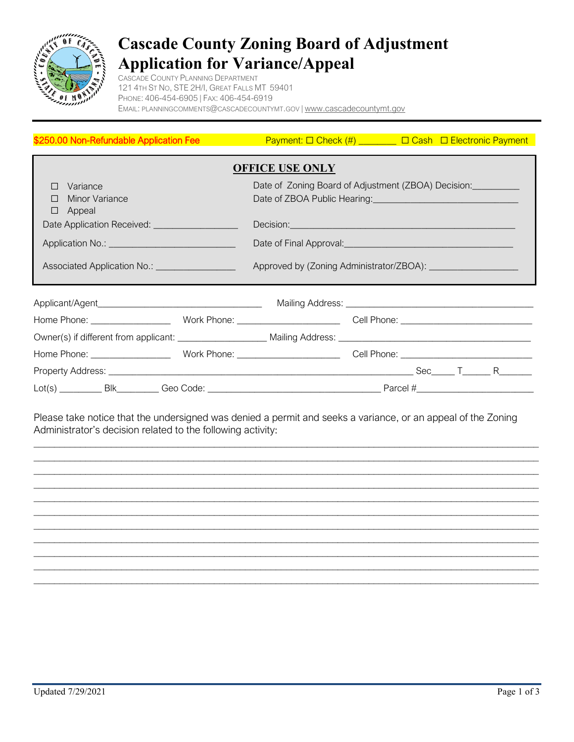

## **Cascade County Zoning Board of Adjustment Application for Variance/Appeal**

CASCADE COUNTY PLANNING DEPARTMENT 121 4TH ST NO, STE 2H/I, GREAT FALLS MT 59401 PHONE: 406-454-6905 | FAX: 406-454-6919 EMAIL: [PLANNINGCOMMENTS@CASCADECOUNTYMT.GOV](mailto:planningcomments@cascadecountymt.gov) | [www.cascadecountymt.gov](http://www.cascadecountymt.gov/)

| \$250.00 Non-Refundable Application Fee                                                                        |  | $\Box$ Payment: $\Box$ Check (#) ________ $\Box$ Cash $\Box$ Electronic Payment                                                                                                                                                      |  |
|----------------------------------------------------------------------------------------------------------------|--|--------------------------------------------------------------------------------------------------------------------------------------------------------------------------------------------------------------------------------------|--|
| <b>OFFICE USE ONLY</b>                                                                                         |  |                                                                                                                                                                                                                                      |  |
| Variance<br>П<br>Minor Variance<br>П<br>Appeal<br>□                                                            |  | Date of Zoning Board of Adjustment (ZBOA) Decision:                                                                                                                                                                                  |  |
| Date Application Received: _________________                                                                   |  | Decision: <u>Contract of the Contract of the Contract of the Contract of the Contract of the Contract of the Contract of the Contract of the Contract of the Contract of the Contract of the Contract of the Contract of the Con</u> |  |
| Application No.: ______________________________                                                                |  | Date of Final Approval: <u>contract and a set of Final Approval</u>                                                                                                                                                                  |  |
| Associated Application No.: ___________________                                                                |  |                                                                                                                                                                                                                                      |  |
|                                                                                                                |  |                                                                                                                                                                                                                                      |  |
|                                                                                                                |  |                                                                                                                                                                                                                                      |  |
| Owner(s) if different from applicant: _____________________ Mailing Address: _________________________________ |  |                                                                                                                                                                                                                                      |  |
|                                                                                                                |  |                                                                                                                                                                                                                                      |  |
|                                                                                                                |  |                                                                                                                                                                                                                                      |  |
|                                                                                                                |  |                                                                                                                                                                                                                                      |  |

Please take notice that the undersigned was denied a permit and seeks a variance, or an appeal of the Zoning Administrator's decision related to the following activity:

 $\mathcal{L}_\text{max}$  and  $\mathcal{L}_\text{max}$  and  $\mathcal{L}_\text{max}$  and  $\mathcal{L}_\text{max}$  and  $\mathcal{L}_\text{max}$  and  $\mathcal{L}_\text{max}$  $\_$  $\_$  , and the set of the set of the set of the set of the set of the set of the set of the set of the set of the set of the set of the set of the set of the set of the set of the set of the set of the set of the set of th  $\_$ \_\_\_\_\_\_\_\_\_\_\_\_\_\_\_\_\_\_\_\_\_\_\_\_\_\_\_\_\_\_\_\_\_\_\_\_\_\_\_\_\_\_\_\_\_\_\_\_\_\_\_\_\_\_\_\_\_\_\_\_\_\_\_\_\_\_\_\_\_\_\_\_\_\_\_\_\_\_\_\_\_\_\_\_\_\_\_\_\_\_\_\_\_\_\_\_\_\_ \_\_\_\_\_\_\_\_\_\_\_\_\_\_\_\_\_\_\_\_\_\_\_\_\_\_\_\_\_\_\_\_\_\_\_\_\_\_\_\_\_\_\_\_\_\_\_\_\_\_\_\_\_\_\_\_\_\_\_\_\_\_\_\_\_\_\_\_\_\_\_\_\_\_\_\_\_\_\_\_\_\_\_\_\_\_\_\_\_\_\_\_\_\_\_\_\_\_  $\_$  , and the set of the set of the set of the set of the set of the set of the set of the set of the set of the set of the set of the set of the set of the set of the set of the set of the set of the set of the set of th  $\_$  , and the set of the set of the set of the set of the set of the set of the set of the set of the set of the set of the set of the set of the set of the set of the set of the set of the set of the set of the set of th  $\_$  $\_$  , and the set of the set of the set of the set of the set of the set of the set of the set of the set of the set of the set of the set of the set of the set of the set of the set of the set of the set of the set of th \_\_\_\_\_\_\_\_\_\_\_\_\_\_\_\_\_\_\_\_\_\_\_\_\_\_\_\_\_\_\_\_\_\_\_\_\_\_\_\_\_\_\_\_\_\_\_\_\_\_\_\_\_\_\_\_\_\_\_\_\_\_\_\_\_\_\_\_\_\_\_\_\_\_\_\_\_\_\_\_\_\_\_\_\_\_\_\_\_\_\_\_\_\_\_\_\_\_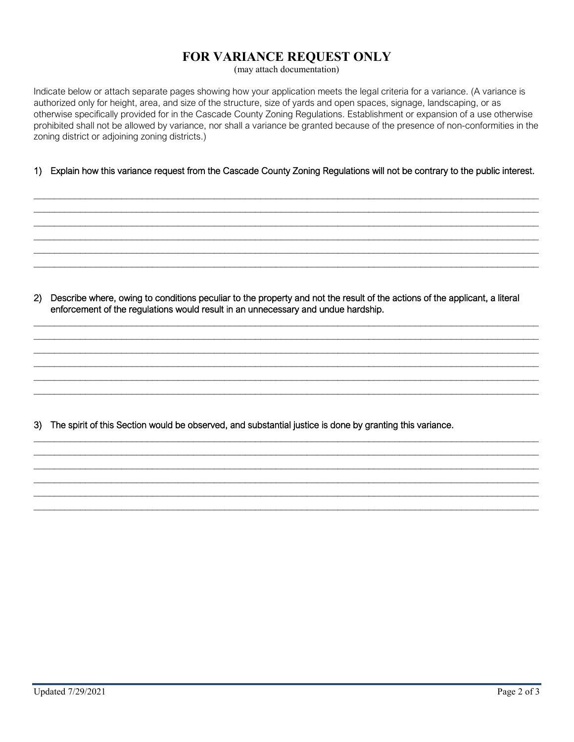## **FOR VARIANCE REQUEST ONLY**

(may attach documentation)

Indicate below or attach separate pages showing how your application meets the legal criteria for a variance. (A variance is authorized only for height, area, and size of the structure, size of yards and open spaces, signage, landscaping, or as otherwise specifically provided for in the Cascade County Zoning Regulations. Establishment or expansion of a use otherwise prohibited shall not be allowed by variance, nor shall a variance be granted because of the presence of non-conformities in the zoning district or adjoining zoning districts.)

## 1) Explain how this variance request from the Cascade County Zoning Regulations will not be contrary to the public interest.

 $\_$  , and the set of the set of the set of the set of the set of the set of the set of the set of the set of the set of the set of the set of the set of the set of the set of the set of the set of the set of the set of th  $\_$  $\_$ \_\_\_\_\_\_\_\_\_\_\_\_\_\_\_\_\_\_\_\_\_\_\_\_\_\_\_\_\_\_\_\_\_\_\_\_\_\_\_\_\_\_\_\_\_\_\_\_\_\_\_\_\_\_\_\_\_\_\_\_\_\_\_\_\_\_\_\_\_\_\_\_\_\_\_\_\_\_\_\_\_\_\_\_\_\_\_\_\_\_\_\_\_\_\_\_\_\_  $\_$  , and the set of the set of the set of the set of the set of the set of the set of the set of the set of the set of the set of the set of the set of the set of the set of the set of the set of the set of the set of th  $\_$  , and the set of the set of the set of the set of the set of the set of the set of the set of the set of the set of the set of the set of the set of the set of the set of the set of the set of the set of the set of th

2) Describe where, owing to conditions peculiar to the property and not the result of the actions of the applicant, a literal enforcement of the regulations would result in an unnecessary and undue hardship.

 $\_$  , and the set of the set of the set of the set of the set of the set of the set of the set of the set of the set of the set of the set of the set of the set of the set of the set of the set of the set of the set of th  $\_$ \_\_\_\_\_\_\_\_\_\_\_\_\_\_\_\_\_\_\_\_\_\_\_\_\_\_\_\_\_\_\_\_\_\_\_\_\_\_\_\_\_\_\_\_\_\_\_\_\_\_\_\_\_\_\_\_\_\_\_\_\_\_\_\_\_\_\_\_\_\_\_\_\_\_\_\_\_\_\_\_\_\_\_\_\_\_\_\_\_\_\_\_\_\_\_\_\_\_  $\_$  , and the set of the set of the set of the set of the set of the set of the set of the set of the set of the set of the set of the set of the set of the set of the set of the set of the set of the set of the set of th  $\_$  , and the set of the set of the set of the set of the set of the set of the set of the set of the set of the set of the set of the set of the set of the set of the set of the set of the set of the set of the set of th  $\_$  , and the set of the set of the set of the set of the set of the set of the set of the set of the set of the set of the set of the set of the set of the set of the set of the set of the set of the set of the set of th

 $\_$  , and the set of the set of the set of the set of the set of the set of the set of the set of the set of the set of the set of the set of the set of the set of the set of the set of the set of the set of the set of th  $\_$  , and the set of the set of the set of the set of the set of the set of the set of the set of the set of the set of the set of the set of the set of the set of the set of the set of the set of the set of the set of th  $\_$  , and the set of the set of the set of the set of the set of the set of the set of the set of the set of the set of the set of the set of the set of the set of the set of the set of the set of the set of the set of th  $\_$ \_\_\_\_\_\_\_\_\_\_\_\_\_\_\_\_\_\_\_\_\_\_\_\_\_\_\_\_\_\_\_\_\_\_\_\_\_\_\_\_\_\_\_\_\_\_\_\_\_\_\_\_\_\_\_\_\_\_\_\_\_\_\_\_\_\_\_\_\_\_\_\_\_\_\_\_\_\_\_\_\_\_\_\_\_\_\_\_\_\_\_\_\_\_\_\_\_\_  $\_$  , and the set of the set of the set of the set of the set of the set of the set of the set of the set of the set of the set of the set of the set of the set of the set of the set of the set of the set of the set of th

3) The spirit of this Section would be observed, and substantial justice is done by granting this variance.